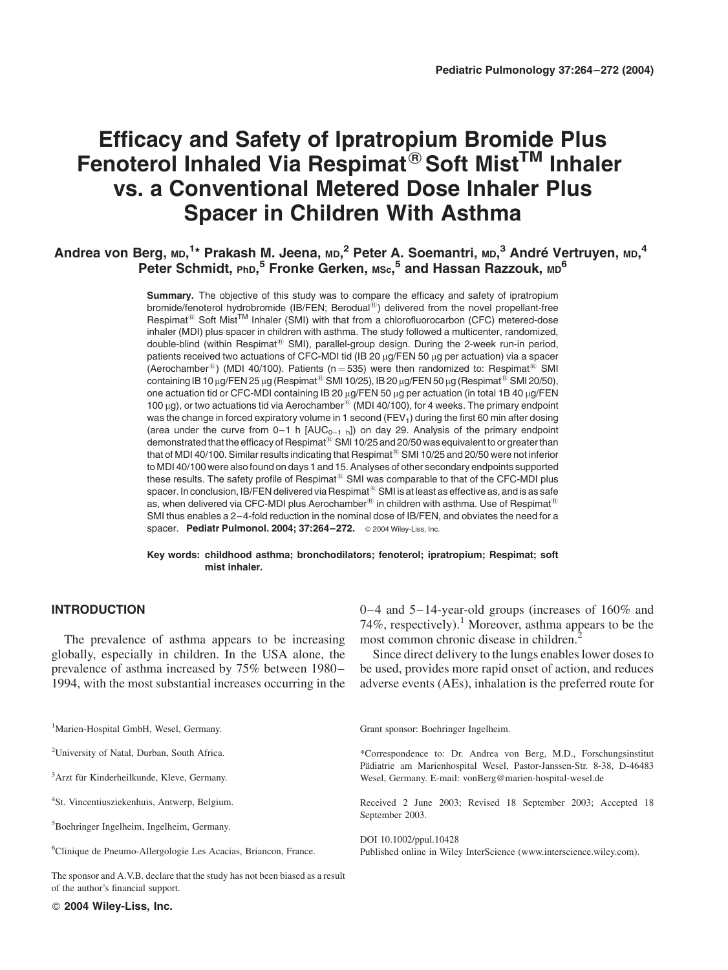# Efficacy and Safety of Ipratropium Bromide Plus Fenoterol Inhaled Via Respimat<sup>®</sup> Soft Mist<sup>™</sup> Inhaler vs. a Conventional Metered Dose Inhaler Plus Spacer in Children With Asthma

# Andrea von Berg, <code>mp, $^{1*}$  Prakash M. Jeena, <code>mp, $^2$  Peter A. Soemantri,</code> <code>mp, $^3$  André Vertruyen,</code> <code>mp, $^4$ </code></code> Peter Schmidt, PhD,<sup>5</sup> Fronke Gerken, Msc,<sup>5</sup> and Hassan Razzouk, MD<sup>6</sup>

Summary. The objective of this study was to compare the efficacy and safety of ipratropium bromide/fenoterol hydrobromide (IB/FEN; Berodual<sup>®</sup>) delivered from the novel propellant-free Respimat<sup>®</sup> Soft Mist<sup>™</sup> Inhaler (SMI) with that from a chlorofluorocarbon (CFC) metered-dose inhaler (MDI) plus spacer in children with asthma. The study followed a multicenter, randomized, double-blind (within Respimat<sup>®</sup> SMI), parallel-group design. During the 2-week run-in period, patients received two actuations of CFC-MDI tid (IB 20  $\mu$ g/FEN 50  $\mu$ g per actuation) via a spacer (Aerochamber<sup>®</sup>) (MDI 40/100). Patients (n = 535) were then randomized to: Respimat<sup>®</sup> SMI containing IB 10  $\mu$ g/FEN 25  $\mu$ g (Respimat<sup>®</sup> SMI 10/25), IB 20  $\mu$ g/FEN 50  $\mu$ g (Respimat<sup>®</sup> SMI 20/50), one actuation tid or CFC-MDI containing IB 20  $\mu$ g/FEN 50  $\mu$ g per actuation (in total 1B 40  $\mu$ g/FEN 100  $\mu$ g), or two actuations tid via Aerochamber<sup>®</sup> (MDI 40/100), for 4 weeks. The primary endpoint was the change in forced expiratory volume in 1 second (FEV<sub>1</sub>) during the first 60 min after dosing (area under the curve from  $0-1$  h  $[AUC_{0-1}$  h]) on day 29. Analysis of the primary endpoint demonstrated that the efficacy of Respimat<sup>®</sup> SMI 10/25 and 20/50 was equivalent to or greater than that of MDI 40/100. Similar results indicating that Respimat<sup>®</sup> SMI 10/25 and 20/50 were not inferior to MDI 40/100 were also found on days 1 and 15. Analyses of other secondary endpoints supported these results. The safety profile of Respimat<sup>®</sup> SMI was comparable to that of the CFC-MDI plus spacer. In conclusion, IB/FEN delivered via Respimat<sup>®</sup> SMI is at least as effective as, and is as safe as, when delivered via CFC-MDI plus Aerochamber<sup>®</sup> in children with asthma. Use of Respimat<sup>®</sup> SMI thus enables a 2–4-fold reduction in the nominal dose of IB/FEN, and obviates the need for a spacer. Pediatr Pulmonol. 2004; 37:264-272. © 2004 Wiley-Liss, Inc.

Key words: childhood asthma; bronchodilators; fenoterol; ipratropium; Respimat; soft mist inhaler.

# INTRODUCTION

The prevalence of asthma appears to be increasing globally, especially in children. In the USA alone, the prevalence of asthma increased by 75% between 1980– 1994, with the most substantial increases occurring in the 0–4 and 5–14-year-old groups (increases of 160% and 74%, respectively).<sup>1</sup> Moreover, asthma appears to be the most common chronic disease in children.<sup>2</sup>

Since direct delivery to the lungs enables lower doses to be used, provides more rapid onset of action, and reduces adverse events (AEs), inhalation is the preferred route for

<sup>1</sup>Marien-Hospital GmbH, Wesel, Germany.

<sup>2</sup>University of Natal, Durban, South Africa.

<sup>3</sup>Arzt für Kinderheilkunde, Kleve, Germany.

4 St. Vincentiusziekenhuis, Antwerp, Belgium.

5 Boehringer Ingelheim, Ingelheim, Germany.

6 Clinique de Pneumo-Allergologie Les Acacias, Briancon, France.

The sponsor and A.V.B. declare that the study has not been biased as a result of the author's financial support.

2004 Wiley-Liss, Inc.

Grant sponsor: Boehringer Ingelheim.

\*Correspondence to: Dr. Andrea von Berg, M.D., Forschungsinstitut Pädiatrie am Marienhospital Wesel, Pastor-Janssen-Str. 8-38, D-46483 Wesel, Germany. E-mail: vonBerg@marien-hospital-wesel.de

Received 2 June 2003; Revised 18 September 2003; Accepted 18 September 2003.

DOI 10.1002/ppul.10428 Published online in Wiley InterScience (www.interscience.wiley.com).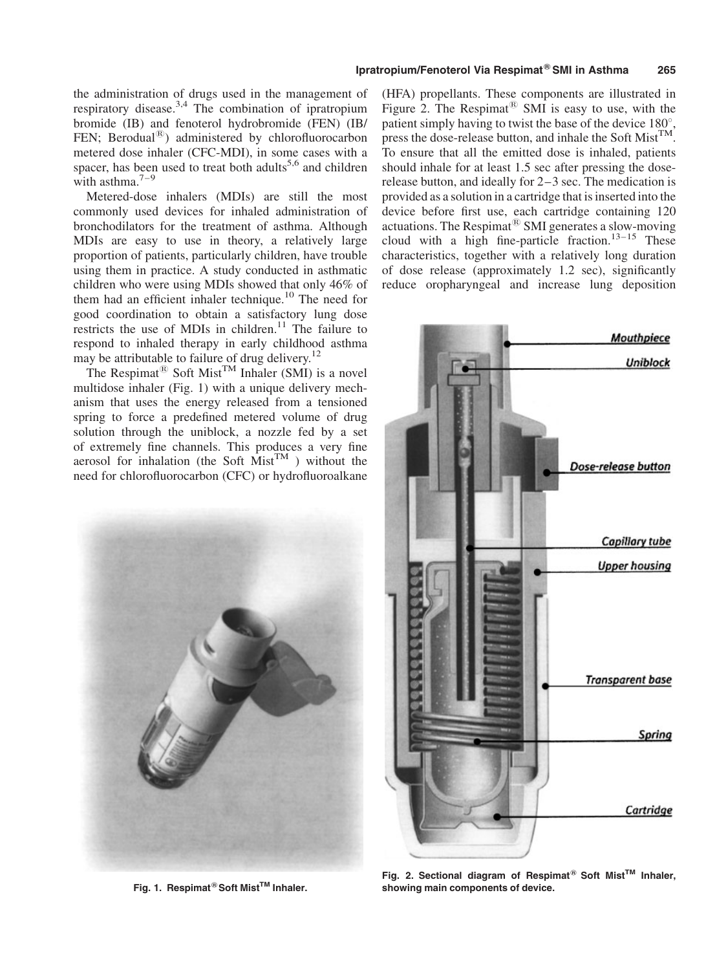Metered-dose inhalers (MDIs) are still the most commonly used devices for inhaled administration of bronchodilators for the treatment of asthma. Although MDIs are easy to use in theory, a relatively large proportion of patients, particularly children, have trouble using them in practice. A study conducted in asthmatic children who were using MDIs showed that only 46% of them had an efficient inhaler technique.<sup>10</sup> The need for good coordination to obtain a satisfactory lung dose restricts the use of MDIs in children.<sup>11</sup> The failure to respond to inhaled therapy in early childhood asthma may be attributable to failure of drug delivery.<sup>12</sup>

The Respimat<sup>®</sup> Soft Mist<sup>TM</sup> Inhaler (SMI) is a novel multidose inhaler (Fig. 1) with a unique delivery mechanism that uses the energy released from a tensioned spring to force a predefined metered volume of drug solution through the uniblock, a nozzle fed by a set of extremely fine channels. This produces a very fine aerosol for inhalation (the Soft  $Mist^{TM}$ ) without the need for chlorofluorocarbon (CFC) or hydrofluoroalkane



Fig. 1. Respimat<sup>®</sup> Soft Mist™ Inhaler.

(HFA) propellants. These components are illustrated in Figure 2. The Respimat<sup>®</sup> SMI is easy to use, with the patient simply having to twist the base of the device  $180^{\circ}$ , press the dose-release button, and inhale the Soft Mist<sup>TM</sup>. To ensure that all the emitted dose is inhaled, patients should inhale for at least 1.5 sec after pressing the doserelease button, and ideally for 2–3 sec. The medication is provided as a solution in a cartridge that is inserted into the device before first use, each cartridge containing 120 actuations. The Respimat $^{(8)}$  SMI generates a slow-moving cloud with a high fine-particle fraction.<sup>13-15</sup> These characteristics, together with a relatively long duration of dose release (approximately 1.2 sec), significantly reduce oropharyngeal and increase lung deposition



Fig. 2. Sectional diagram of Respimat<sup>®</sup> Soft Mist<sup>™</sup> Inhaler, showing main components of device.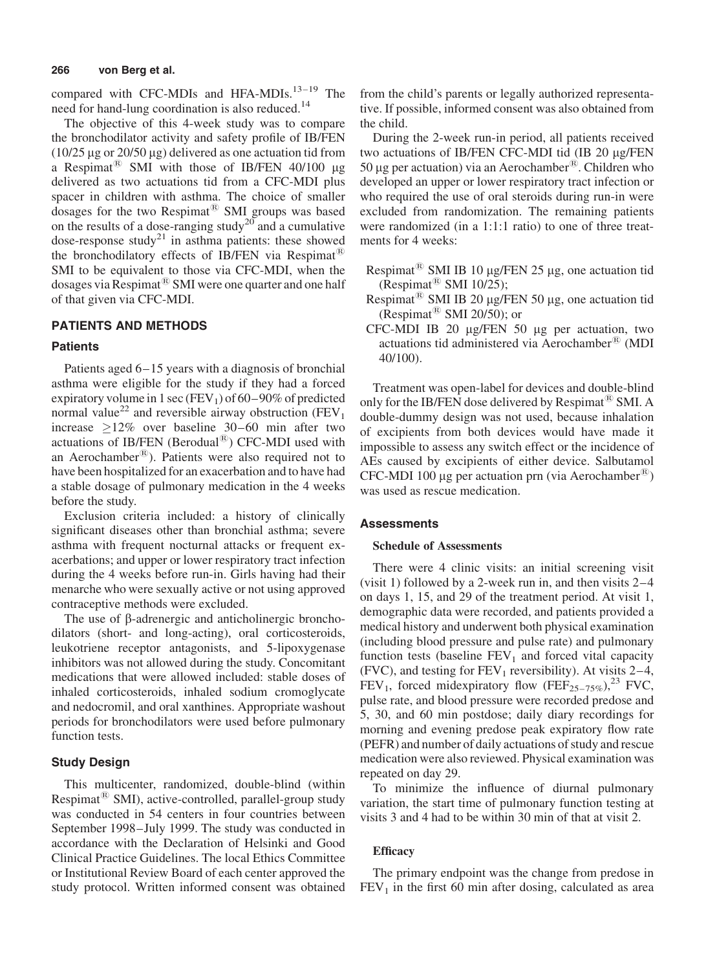compared with CFC-MDIs and HFA-MDIs.<sup>13–19</sup> The need for hand-lung coordination is also reduced.<sup>14</sup>

The objective of this 4-week study was to compare the bronchodilator activity and safety profile of IB/FEN ( $10/25 \mu$ g or  $20/50 \mu$ g) delivered as one actuation tid from a Respimat<sup>®</sup> SMI with those of IB/FEN 40/100  $\mu$ g delivered as two actuations tid from a CFC-MDI plus spacer in children with asthma. The choice of smaller dosages for the two Respimat<sup>®</sup> SMI groups was based on the results of a dose-ranging study<sup>20</sup> and a cumulative dose-response study<sup>21</sup> in asthma patients: these showed the bronchodilatory effects of IB/FEN via Respimat<sup>®</sup> SMI to be equivalent to those via CFC-MDI, when the dosages via Respimat $^{(8)}$  SMI were one quarter and one half of that given via CFC-MDI.

# PATIENTS AND METHODS

# **Patients**

Patients aged 6–15 years with a diagnosis of bronchial asthma were eligible for the study if they had a forced expiratory volume in 1 sec (FEV<sub>1</sub>) of 60–90% of predicted normal value<sup>22</sup> and reversible airway obstruction (FEV<sub>1</sub>) increase  $>12\%$  over baseline 30–60 min after two actuations of IB/FEN (Berodual $^{(8)}$ ) CFC-MDI used with an Aerochamber<sup>®</sup>). Patients were also required not to have been hospitalized for an exacerbation and to have had a stable dosage of pulmonary medication in the 4 weeks before the study.

Exclusion criteria included: a history of clinically significant diseases other than bronchial asthma; severe asthma with frequent nocturnal attacks or frequent exacerbations; and upper or lower respiratory tract infection during the 4 weeks before run-in. Girls having had their menarche who were sexually active or not using approved contraceptive methods were excluded.

The use of  $\beta$ -adrenergic and anticholinergic bronchodilators (short- and long-acting), oral corticosteroids, leukotriene receptor antagonists, and 5-lipoxygenase inhibitors was not allowed during the study. Concomitant medications that were allowed included: stable doses of inhaled corticosteroids, inhaled sodium cromoglycate and nedocromil, and oral xanthines. Appropriate washout periods for bronchodilators were used before pulmonary function tests.

#### Study Design

This multicenter, randomized, double-blind (within Respimat<sup> $\&$ </sup> SMI), active-controlled, parallel-group study was conducted in 54 centers in four countries between September 1998–July 1999. The study was conducted in accordance with the Declaration of Helsinki and Good Clinical Practice Guidelines. The local Ethics Committee or Institutional Review Board of each center approved the study protocol. Written informed consent was obtained from the child's parents or legally authorized representative. If possible, informed consent was also obtained from the child.

During the 2-week run-in period, all patients received two actuations of IB/FEN CFC-MDI tid (IB 20 µg/FEN 50 µg per actuation) via an Aerochamber<sup>®</sup>. Children who developed an upper or lower respiratory tract infection or who required the use of oral steroids during run-in were excluded from randomization. The remaining patients were randomized (in a 1:1:1 ratio) to one of three treatments for 4 weeks:

- Respimat<sup>®</sup> SMI IB 10 µg/FEN 25 µg, one actuation tid (Respimat<sup>®</sup> SMI 10/25);
- Respimat<sup>®</sup> SMI IB 20 µg/FEN 50 µg, one actuation tid (Respimat $^{(8)}$  SMI 20/50); or
- CFC-MDI IB 20 mg/FEN 50 mg per actuation, two actuations tid administered via Aerochamber® (MDI 40/100).

Treatment was open-label for devices and double-blind only for the IB/FEN dose delivered by Respimat<sup>®</sup> SMI. A double-dummy design was not used, because inhalation of excipients from both devices would have made it impossible to assess any switch effect or the incidence of AEs caused by excipients of either device. Salbutamol CFC-MDI 100 µg per actuation prn (via Aerochamber<sup>®</sup>) was used as rescue medication.

# Assessments

#### Schedule of Assessments

There were 4 clinic visits: an initial screening visit (visit 1) followed by a 2-week run in, and then visits 2–4 on days 1, 15, and 29 of the treatment period. At visit 1, demographic data were recorded, and patients provided a medical history and underwent both physical examination (including blood pressure and pulse rate) and pulmonary function tests (baseline  $FEV<sub>1</sub>$  and forced vital capacity (FVC), and testing for  $FEV_1$  reversibility). At visits 2–4, FEV<sub>1</sub>, forced midexpiratory flow (FEF<sub>25–75%</sub>),<sup>23</sup> FVC, pulse rate, and blood pressure were recorded predose and 5, 30, and 60 min postdose; daily diary recordings for morning and evening predose peak expiratory flow rate (PEFR) and number of daily actuations of study and rescue medication were also reviewed. Physical examination was repeated on day 29.

To minimize the influence of diurnal pulmonary variation, the start time of pulmonary function testing at visits 3 and 4 had to be within 30 min of that at visit 2.

# **Efficacy**

The primary endpoint was the change from predose in  $FEV<sub>1</sub>$  in the first 60 min after dosing, calculated as area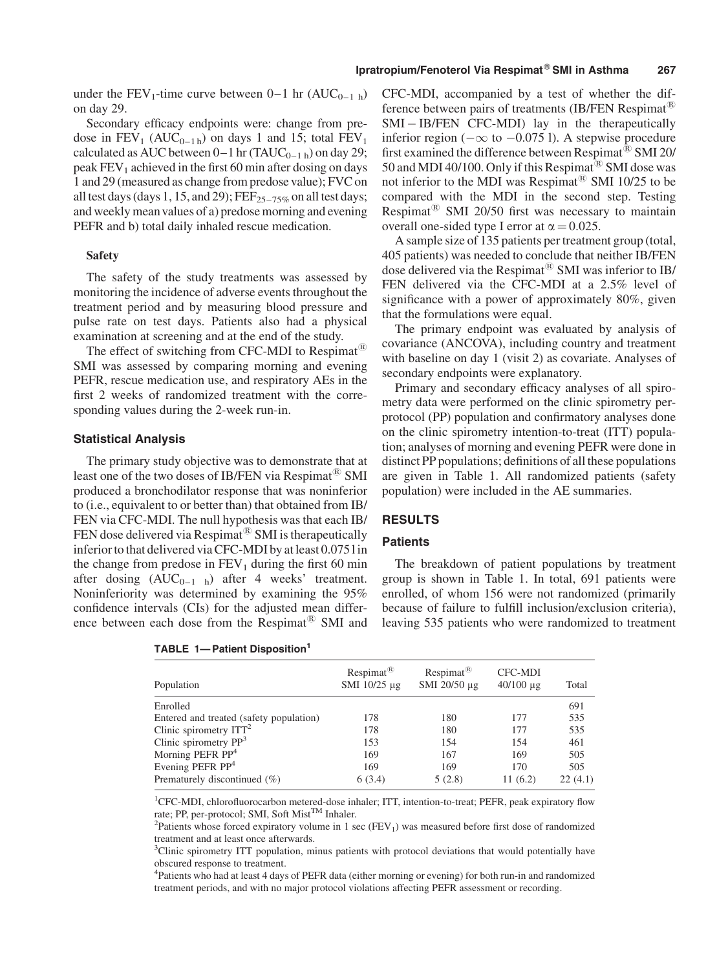under the FEV<sub>1</sub>-time curve between  $0-1$  hr  $(AUC_{0-1 h})$ on day 29.

Secondary efficacy endpoints were: change from predose in  $FEV_1$  ( $AUC_{0-1h}$ ) on days 1 and 15; total  $FEV_1$ calculated as AUC between  $0-1$  hr (TAUC<sub>0–1 h</sub>) on day 29; peak  $FEV<sub>1</sub>$  achieved in the first 60 min after dosing on days 1 and 29 (measured as change from predose value); FVC on all test days (days 1, 15, and 29);  $\text{FEF}_{25-75\%}$  on all test days; and weekly meanvalues of a) predose morning and evening PEFR and b) total daily inhaled rescue medication.

#### Safety

The safety of the study treatments was assessed by monitoring the incidence of adverse events throughout the treatment period and by measuring blood pressure and pulse rate on test days. Patients also had a physical examination at screening and at the end of the study.

The effect of switching from CFC-MDI to Respimat<sup>®</sup> SMI was assessed by comparing morning and evening PEFR, rescue medication use, and respiratory AEs in the first 2 weeks of randomized treatment with the corresponding values during the 2-week run-in.

#### Statistical Analysis

The primary study objective was to demonstrate that at least one of the two doses of IB/FEN via Respimat<sup> $\omega$ </sup> SMI produced a bronchodilator response that was noninferior to (i.e., equivalent to or better than) that obtained from IB/ FEN via CFC-MDI. The null hypothesis was that each IB/ FEN dose delivered via Respimat<sup>®</sup> SMI is therapeutically inferior to that delivered via CFC-MDI by at least 0.075 l in the change from predose in  $FEV_1$  during the first 60 min after dosing  $(AUC_{0-1}$  h) after 4 weeks' treatment. Noninferiority was determined by examining the 95% confidence intervals (CIs) for the adjusted mean difference between each dose from the Respimat $^{\circledR}$  SMI and

|  |  | TABLE 1- Patient Disposition <sup>1</sup> |
|--|--|-------------------------------------------|
|--|--|-------------------------------------------|

CFC-MDI, accompanied by a test of whether the difference between pairs of treatments (IB/FEN Respimat $^{\circledR}$ ) SMI – IB/FEN CFC-MDI) lay in the therapeutically inferior region ( $-\infty$  to  $-0.075$  l). A stepwise procedure first examined the difference between Respimat $^{(8)}$  SMI 20/ 50 and MDI 40/100. Only if this Respimat<sup> $\circledR$ </sup> SMI dose was not inferior to the MDI was Respimat<sup>®</sup> SMI 10/25 to be compared with the MDI in the second step. Testing Respimat<sup>®</sup> SMI 20/50 first was necessary to maintain overall one-sided type I error at  $\alpha = 0.025$ .

A sample size of 135 patients per treatment group (total, 405 patients) was needed to conclude that neither IB/FEN dose delivered via the Respimat<sup>®</sup> SMI was inferior to IB/ FEN delivered via the CFC-MDI at a 2.5% level of significance with a power of approximately 80%, given that the formulations were equal.

The primary endpoint was evaluated by analysis of covariance (ANCOVA), including country and treatment with baseline on day 1 (visit 2) as covariate. Analyses of secondary endpoints were explanatory.

Primary and secondary efficacy analyses of all spirometry data were performed on the clinic spirometry perprotocol (PP) population and confirmatory analyses done on the clinic spirometry intention-to-treat (ITT) population; analyses of morning and evening PEFR were done in distinct PP populations; definitions of all these populations are given in Table 1. All randomized patients (safety population) were included in the AE summaries.

### RESULTS

# **Patients**

The breakdown of patient populations by treatment group is shown in Table 1. In total, 691 patients were enrolled, of whom 156 were not randomized (primarily because of failure to fulfill inclusion/exclusion criteria), leaving 535 patients who were randomized to treatment

| Population                              | $Respimat^{\circledR}$<br>SMI 10/25 µg | $Respimat^{\circledR}$<br>SMI 20/50 µg | CFC-MDI<br>$40/100 \mu$ g | Total   |
|-----------------------------------------|----------------------------------------|----------------------------------------|---------------------------|---------|
| Enrolled                                |                                        |                                        |                           | 691     |
| Entered and treated (safety population) | 178                                    | 180                                    | 177                       | 535     |
| Clinic spirometry $ITT2$                | 178                                    | 180                                    | 177                       | 535     |
| Clinic spirometry $PP3$                 | 153                                    | 154                                    | 154                       | 461     |
| Morning PEFR $PP4$                      | 169                                    | 167                                    | 169                       | 505     |
| Evening PEFR $PP4$                      | 169                                    | 169                                    | 170                       | 505     |
| Prematurely discontinued $(\%)$         | 6(3.4)                                 | 5(2.8)                                 | 11(6.2)                   | 22(4.1) |

<sup>1</sup>CFC-MDI, chlorofluorocarbon metered-dose inhaler; ITT, intention-to-treat; PEFR, peak expiratory flow rate; PP, per-protocol; SMI, Soft Mist<sup>TM</sup> Inhaler.

<sup>2</sup>Patients whose forced expiratory volume in 1 sec (FEV<sub>1</sub>) was measured before first dose of randomized treatment and at least once afterwards.

<sup>3</sup>Clinic spirometry ITT population, minus patients with protocol deviations that would potentially have obscured response to treatment.

4 Patients who had at least 4 days of PEFR data (either morning or evening) for both run-in and randomized treatment periods, and with no major protocol violations affecting PEFR assessment or recording.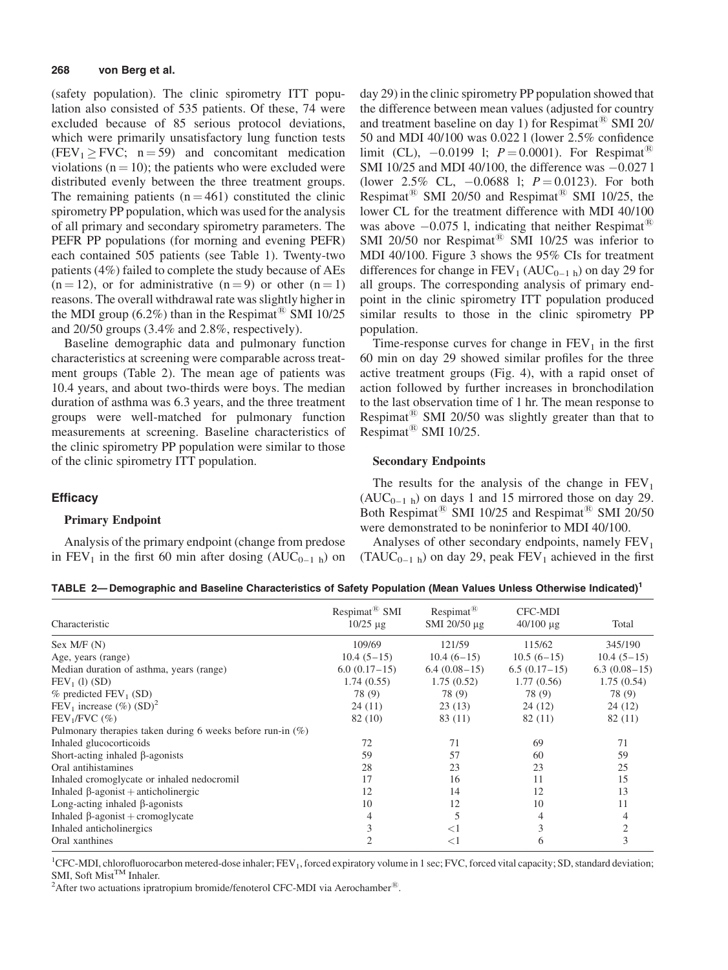(safety population). The clinic spirometry ITT population also consisted of 535 patients. Of these, 74 were excluded because of 85 serious protocol deviations, which were primarily unsatisfactory lung function tests  $(FEV_1 \ge FVC; n = 59)$  and concomitant medication violations ( $n = 10$ ); the patients who were excluded were distributed evenly between the three treatment groups. The remaining patients  $(n = 461)$  constituted the clinic spirometry PP population, which was used for the analysis of all primary and secondary spirometry parameters. The PEFR PP populations (for morning and evening PEFR) each contained 505 patients (see Table 1). Twenty-two patients (4%) failed to complete the study because of AEs  $(n = 12)$ , or for administrative  $(n = 9)$  or other  $(n = 1)$ reasons. The overall withdrawal rate was slightly higher in the MDI group (6.2%) than in the Respimat<sup>®</sup> SMI 10/25 and 20/50 groups (3.4% and 2.8%, respectively).

Baseline demographic data and pulmonary function characteristics at screening were comparable across treatment groups (Table 2). The mean age of patients was 10.4 years, and about two-thirds were boys. The median duration of asthma was 6.3 years, and the three treatment groups were well-matched for pulmonary function measurements at screening. Baseline characteristics of the clinic spirometry PP population were similar to those of the clinic spirometry ITT population.

# **Efficacy**

### Primary Endpoint

Analysis of the primary endpoint (change from predose in FEV<sub>1</sub> in the first 60 min after dosing  $(AUC_{0-1 h})$  on day 29) in the clinic spirometry PP population showed that the difference between mean values (adjusted for country and treatment baseline on day 1) for Respimat<sup> $\&$ </sup> SMI 20/ 50 and MDI 40/100 was 0.022 l (lower 2.5% confidence limit (CL),  $-0.0199$  l;  $P = 0.0001$ ). For Respimat<sup>®</sup> SMI 10/25 and MDI 40/100, the difference was  $-0.0271$ (lower 2.5% CL,  $-0.0688$  l;  $P = 0.0123$ ). For both Respimat<sup>®</sup> SMI 20/50 and Respimat<sup>®</sup> SMI 10/25, the lower CL for the treatment difference with MDI 40/100 was above  $-0.075$  l, indicating that neither Respimat<sup>®</sup> SMI 20/50 nor Respimat<sup>®</sup> SMI 10/25 was inferior to MDI 40/100. Figure 3 shows the 95% CIs for treatment differences for change in  $FEV_1$  (AUC<sub>0–1 h</sub>) on day 29 for all groups. The corresponding analysis of primary endpoint in the clinic spirometry ITT population produced similar results to those in the clinic spirometry PP population.

Time-response curves for change in  $FEV<sub>1</sub>$  in the first 60 min on day 29 showed similar profiles for the three active treatment groups (Fig. 4), with a rapid onset of action followed by further increases in bronchodilation to the last observation time of 1 hr. The mean response to Respimat $^{(8)}$  SMI 20/50 was slightly greater than that to Respimat<sup>®</sup> SMI 10/25.

#### Secondary Endpoints

The results for the analysis of the change in  $FEV<sub>1</sub>$  $(AUC_{0-1 h})$  on days 1 and 15 mirrored those on day 29. Both Respimat<sup>®</sup> SMI 10/25 and Respimat<sup>®</sup> SMI 20/50 were demonstrated to be noninferior to MDI 40/100.

Analyses of other secondary endpoints, namely  $FEV<sub>1</sub>$  $(TAUC_{0-1 h})$  on day 29, peak  $FEV_1$  achieved in the first

| TABLE 2— Demographic and Baseline Characteristics of Safety Population (Mean Values Unless Otherwise Indicated) $^{\rm 1}$ |  |  |
|----------------------------------------------------------------------------------------------------------------------------|--|--|
|----------------------------------------------------------------------------------------------------------------------------|--|--|

| Characteristic                                                | Respimat <sup>®</sup> SMI<br>$10/25 \mu g$ | $Respimat^{\circledR}$<br>SMI 20/50 μg | <b>CFC-MDI</b><br>$40/100 \mu g$ | Total          |
|---------------------------------------------------------------|--------------------------------------------|----------------------------------------|----------------------------------|----------------|
| Sex M/F (N)                                                   | 109/69                                     | 121/59                                 | 115/62                           | 345/190        |
| Age, years (range)                                            | $10.4(5-15)$                               | $10.4(6-15)$                           | $10.5(6-15)$                     | $10.4(5-15)$   |
| Median duration of asthma, years (range)                      | $6.0(0.17-15)$                             | $6.4(0.08-15)$                         | $6.5(0.17-15)$                   | $6.3(0.08-15)$ |
| $FEV1$ (1) (SD)                                               | 1.74(0.55)                                 | 1.75(0.52)                             | 1.77(0.56)                       | 1.75(0.54)     |
| $%$ predicted FEV <sub>1</sub> (SD)                           | 78 (9)                                     | 78 (9)                                 | 78 (9)                           | 78 (9)         |
| FEV <sub>1</sub> increase $(\%)(SD)^2$                        | 24(11)                                     | 23(13)                                 | 24(12)                           | 24 (12)        |
| $FEV1/FVC$ (%)                                                | 82 (10)                                    | 83 (11)                                | 82 (11)                          | 82 (11)        |
| Pulmonary therapies taken during 6 weeks before run-in $(\%)$ |                                            |                                        |                                  |                |
| Inhaled glucocorticoids                                       | 72                                         | 71                                     | 69                               | 71             |
| Short-acting inhaled $\beta$ -agonists                        | 59                                         | 57                                     | 60                               | 59             |
| Oral antihistamines                                           | 28                                         | 23                                     | 23                               | 25             |
| Inhaled cromoglycate or inhaled nedocromil                    | 17                                         | 16                                     | 11                               | 15             |
| Inhaled $\beta$ -agonist + anticholinergic                    | 12                                         | 14                                     | 12                               | 13             |
| Long-acting inhaled $\beta$ -agonists                         | 10                                         | 12                                     | 10                               | 11             |
| Inhaled $\beta$ -agonist + cromoglycate                       | 4                                          | 5                                      | 4                                |                |
| Inhaled anticholinergics                                      |                                            | $<$ 1                                  | 3                                |                |
| Oral xanthines                                                |                                            | $<$ 1                                  | 6                                | 3              |

<sup>1</sup>CFC-MDI, chlorofluorocarbon metered-dose inhaler; FEV<sub>1</sub>, forced expiratory volume in 1 sec; FVC, forced vital capacity; SD, standard deviation; SMI, Soft Mist<sup>TM</sup> Inhaler.

<sup>2</sup>After two actuations ipratropium bromide/fenoterol CFC-MDI via Aerochamber<sup>®</sup>.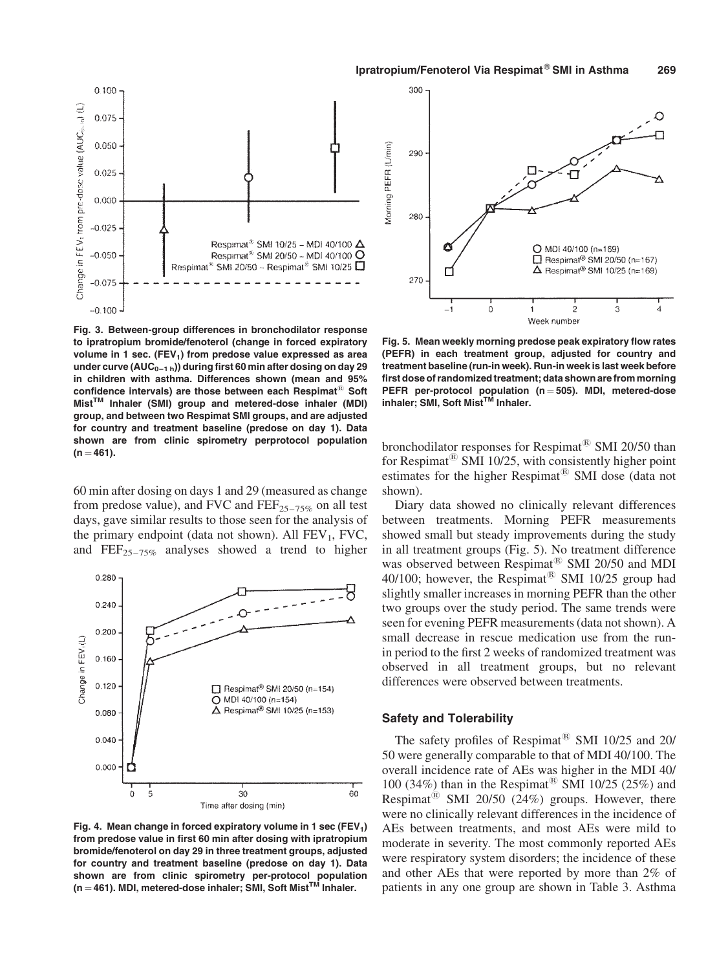

Fig. 3. Between-group differences in bronchodilator response to ipratropium bromide/fenoterol (change in forced expiratory volume in 1 sec. (FEV<sub>1</sub>) from predose value expressed as area under curve ( $AUC_{0-1 h}$ )) during first 60 min after dosing on day 29 in children with asthma. Differences shown (mean and 95% confidence intervals) are those between each Respimat<sup>®</sup> Soft Mist<sup>™</sup> Inhaler (SMI) group and metered-dose inhaler (MDI) group, and between two Respimat SMI groups, and are adjusted for country and treatment baseline (predose on day 1). Data shown are from clinic spirometry perprotocol population  $(n = 461)$ .

60 min after dosing on days 1 and 29 (measured as change from predose value), and FVC and  $FEF_{25-75\%}$  on all test days, gave similar results to those seen for the analysis of the primary endpoint (data not shown). All  $FEV_1$ , FVC, and  $\text{FEF}_{25-75\%}$  analyses showed a trend to higher



Fig. 4. Mean change in forced expiratory volume in 1 sec (FEV<sub>1</sub>) from predose value in first 60 min after dosing with ipratropium bromide/fenoterol on day 29 in three treatment groups, adjusted for country and treatment baseline (predose on day 1). Data shown are from clinic spirometry per-protocol population  $(n = 461)$ . MDI, metered-dose inhaler; SMI, Soft Mist<sup>TM</sup> Inhaler.



Fig. 5. Mean weekly morning predose peak expiratory flow rates (PEFR) in each treatment group, adjusted for country and treatment baseline (run-in week). Run-in week is last week before first dose of randomized treatment; data shown are from morning PEFR per-protocol population ( $n = 505$ ). MDI, metered-dose inhaler; SMI, Soft Mist™ Inhaler.

bronchodilator responses for Respimat<sup>®</sup> SMI 20/50 than for Respimat<sup>®</sup> SMI 10/25, with consistently higher point estimates for the higher Respimat<sup> $E$ </sup> SMI dose (data not shown).

Diary data showed no clinically relevant differences between treatments. Morning PEFR measurements showed small but steady improvements during the study in all treatment groups (Fig. 5). No treatment difference was observed between Respimat<sup>®</sup> SMI 20/50 and MDI 40/100; however, the Respimat<sup>®</sup> SMI 10/25 group had slightly smaller increases in morning PEFR than the other two groups over the study period. The same trends were seen for evening PEFR measurements (data not shown). A small decrease in rescue medication use from the runin period to the first 2 weeks of randomized treatment was observed in all treatment groups, but no relevant differences were observed between treatments.

# Safety and Tolerability

The safety profiles of Respimat<sup>®</sup> SMI 10/25 and 20/ 50 were generally comparable to that of MDI 40/100. The overall incidence rate of AEs was higher in the MDI 40/ 100 (34%) than in the Respimat<sup>®</sup> SMI 10/25 (25%) and Respimat<sup>®</sup> SMI 20/50 (24%) groups. However, there were no clinically relevant differences in the incidence of AEs between treatments, and most AEs were mild to moderate in severity. The most commonly reported AEs were respiratory system disorders; the incidence of these and other AEs that were reported by more than 2% of patients in any one group are shown in Table 3. Asthma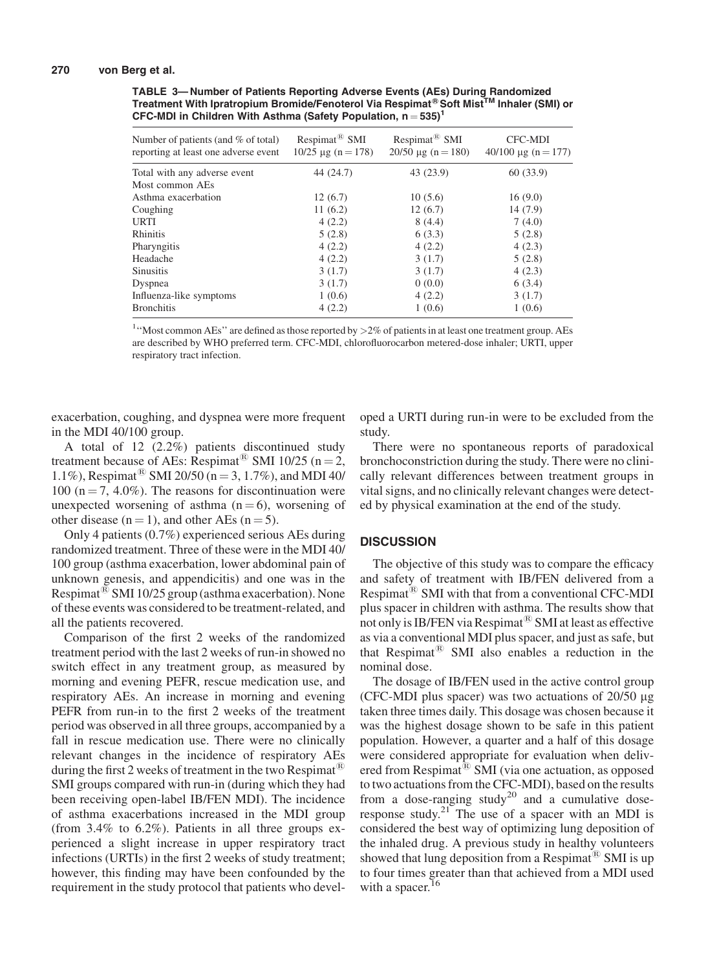#### 270 von Berg et al.

TABLE 3— Number of Patients Reporting Adverse Events (AEs) During Randomized Treatment With Ipratropium Bromide/Fenoterol Via Respimat<sup>®</sup> Soft Mist<sup>TM</sup> Inhaler (SMI) or CFC-MDI in Children With Asthma (Safety Population,  $n = 535$ )<sup>1</sup>

| Number of patients (and $\%$ of total)<br>reporting at least one adverse event | $Respimat^{\tiny{\textcircled{\tiny{R}}}}$ SMI<br>$10/25 \text{ µg} (n = 178)$ | Respimat <sup>®</sup> SMI<br>$20/50 \text{ µg}$ (n = 180) | <b>CFC-MDI</b><br>$40/100 \mu g (n = 177)$ |
|--------------------------------------------------------------------------------|--------------------------------------------------------------------------------|-----------------------------------------------------------|--------------------------------------------|
| Total with any adverse event                                                   | 44 (24.7)                                                                      | 43 (23.9)                                                 | 60(33.9)                                   |
| Most common AEs                                                                |                                                                                |                                                           |                                            |
| Asthma exacerbation                                                            | 12(6.7)                                                                        | 10(5.6)                                                   | 16(9.0)                                    |
| Coughing                                                                       | 11(6.2)                                                                        | 12(6.7)                                                   | 14(7.9)                                    |
| <b>URTI</b>                                                                    | 4(2.2)                                                                         | 8(4.4)                                                    | 7(4.0)                                     |
| Rhinitis                                                                       | 5(2.8)                                                                         | 6(3.3)                                                    | 5(2.8)                                     |
| Pharyngitis                                                                    | 4(2.2)                                                                         | 4(2.2)                                                    | 4(2.3)                                     |
| Headache                                                                       | 4(2.2)                                                                         | 3(1.7)                                                    | 5(2.8)                                     |
| <b>Sinusitis</b>                                                               | 3(1.7)                                                                         | 3(1.7)                                                    | 4(2.3)                                     |
| Dyspnea                                                                        | 3(1.7)                                                                         | 0(0.0)                                                    | 6(3.4)                                     |
| Influenza-like symptoms                                                        | 1(0.6)                                                                         | 4(2.2)                                                    | 3(1.7)                                     |
| <b>Bronchitis</b>                                                              | 4(2.2)                                                                         | 1(0.6)                                                    | 1(0.6)                                     |
|                                                                                |                                                                                |                                                           |                                            |

<sup>1</sup>"Most common AEs" are defined as those reported by >2% of patients in at least one treatment group. AEs are described by WHO preferred term. CFC-MDI, chlorofluorocarbon metered-dose inhaler; URTI, upper respiratory tract infection.

exacerbation, coughing, and dyspnea were more frequent in the MDI 40/100 group.

A total of 12 (2.2%) patients discontinued study treatment because of AEs: Respimat<sup>®</sup> SMI 10/25 (n = 2, 1.1%), Respimat<sup>®</sup> SMI 20/50 (n = 3, 1.7%), and MDI 40/ 100 ( $n = 7, 4.0\%$ ). The reasons for discontinuation were unexpected worsening of asthma  $(n = 6)$ , worsening of other disease ( $n = 1$ ), and other AEs ( $n = 5$ ).

Only 4 patients (0.7%) experienced serious AEs during randomized treatment. Three of these were in the MDI 40/ 100 group (asthma exacerbation, lower abdominal pain of unknown genesis, and appendicitis) and one was in the Respimat<sup> $\&$ </sup> SMI 10/25 group (asthma exacerbation). None of these events was considered to be treatment-related, and all the patients recovered.

Comparison of the first 2 weeks of the randomized treatment period with the last 2 weeks of run-in showed no switch effect in any treatment group, as measured by morning and evening PEFR, rescue medication use, and respiratory AEs. An increase in morning and evening PEFR from run-in to the first 2 weeks of the treatment period was observed in all three groups, accompanied by a fall in rescue medication use. There were no clinically relevant changes in the incidence of respiratory AEs during the first 2 weeks of treatment in the two Respimat<sup> $E$ </sup> SMI groups compared with run-in (during which they had been receiving open-label IB/FEN MDI). The incidence of asthma exacerbations increased in the MDI group (from 3.4% to 6.2%). Patients in all three groups experienced a slight increase in upper respiratory tract infections (URTIs) in the first 2 weeks of study treatment; however, this finding may have been confounded by the requirement in the study protocol that patients who developed a URTI during run-in were to be excluded from the study.

There were no spontaneous reports of paradoxical bronchoconstriction during the study. There were no clinically relevant differences between treatment groups in vital signs, and no clinically relevant changes were detected by physical examination at the end of the study.

#### **DISCUSSION**

The objective of this study was to compare the efficacy and safety of treatment with IB/FEN delivered from a Respimat<sup> $\overset{\circ}{\mathbb{B}}$ </sup> SMI with that from a conventional CFC-MDI plus spacer in children with asthma. The results show that not only is IB/FEN via Respimat $^{(8)}$  SMI at least as effective as via a conventional MDI plus spacer, and just as safe, but that Respimat $^{(8)}$  SMI also enables a reduction in the nominal dose.

The dosage of IB/FEN used in the active control group (CFC-MDI plus spacer) was two actuations of  $20/50 \mu$ g taken three times daily. This dosage was chosen because it was the highest dosage shown to be safe in this patient population. However, a quarter and a half of this dosage were considered appropriate for evaluation when delivered from Respimat<sup>®</sup> SMI (via one actuation, as opposed to two actuations from the CFC-MDI), based on the results from a dose-ranging study<sup>20</sup> and  $a$  cumulative doseresponse study.<sup>21</sup> The use of a spacer with an MDI is considered the best way of optimizing lung deposition of the inhaled drug. A previous study in healthy volunteers showed that lung deposition from a Respimat<sup>®</sup> SMI is up to four times greater than that achieved from a MDI used with a spacer.<sup>16</sup>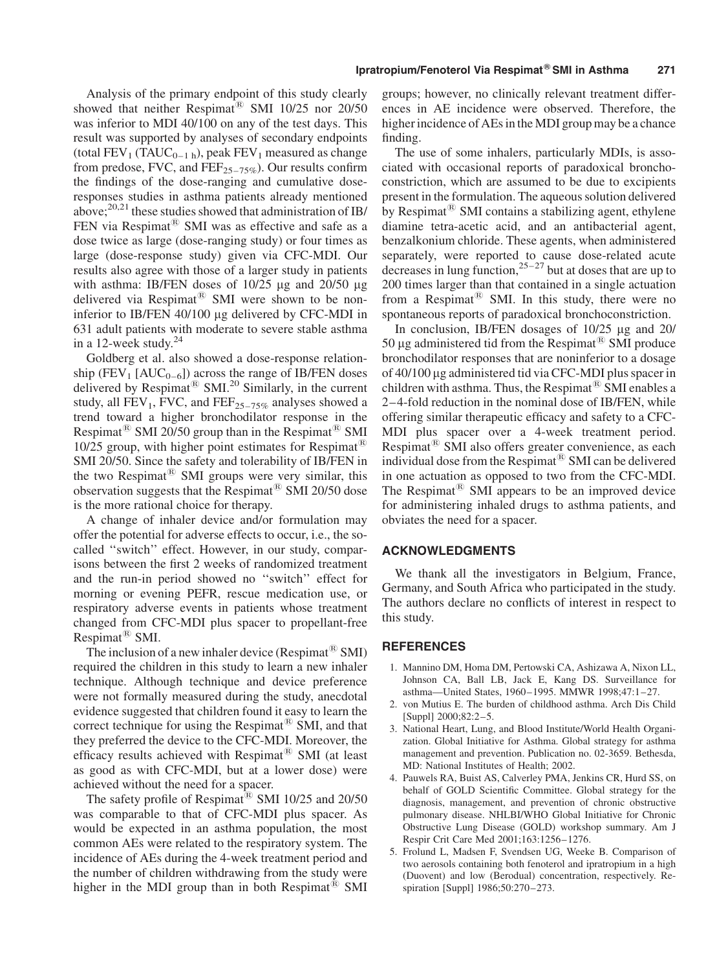Analysis of the primary endpoint of this study clearly showed that neither Respimat<sup>®</sup> SMI 10/25 nor 20/50 was inferior to MDI 40/100 on any of the test days. This result was supported by analyses of secondary endpoints (total  $FEV_1$  (TAUC<sub>0–1 h</sub>), peak  $FEV_1$  measured as change from predose, FVC, and  $\overline{FEF}_{25-75\%}$ ). Our results confirm the findings of the dose-ranging and cumulative doseresponses studies in asthma patients already mentioned above; $^{20,21}$  these studies showed that administration of IB/ FEN via Respimat $^{(8)}$  SMI was as effective and safe as a dose twice as large (dose-ranging study) or four times as large (dose-response study) given via CFC-MDI. Our results also agree with those of a larger study in patients with asthma: IB/FEN doses of  $10/25$  µg and  $20/50$  µg delivered via Respimat<sup>®</sup> SMI were shown to be noninferior to IB/FEN 40/100 µg delivered by CFC-MDI in 631 adult patients with moderate to severe stable asthma in a 12-week study. $24$ 

Goldberg et al. also showed a dose-response relationship (FEV<sub>1</sub> [AUC<sub>0-6</sub>]) across the range of IB/FEN doses delivered by Respimat<sup>®</sup> SMI.<sup>20</sup> Similarly, in the current study, all  $FEV_1$ , FVC, and  $FEF_{25-75\%}$  analyses showed a trend toward a higher bronchodilator response in the Respimat<sup>( $\&$ </sup> SMI 20/50 group than in the Respimat<sup> $\&$ </sup> SMI 10/25 group, with higher point estimates for Respimat<sup> $E$ </sup> SMI 20/50. Since the safety and tolerability of IB/FEN in the two Respimat<sup>®</sup> SMI groups were very similar, this observation suggests that the Respimat<sup>®</sup> SMI 20/50 dose is the more rational choice for therapy.

A change of inhaler device and/or formulation may offer the potential for adverse effects to occur, i.e., the socalled ''switch'' effect. However, in our study, comparisons between the first 2 weeks of randomized treatment and the run-in period showed no ''switch'' effect for morning or evening PEFR, rescue medication use, or respiratory adverse events in patients whose treatment changed from CFC-MDI plus spacer to propellant-free Respimat<sup> $B$ </sup> SMI.

The inclusion of a new inhaler device (Respimat  $\mathbb{B}$  SMI) required the children in this study to learn a new inhaler technique. Although technique and device preference were not formally measured during the study, anecdotal evidence suggested that children found it easy to learn the correct technique for using the Respimat<sup>®</sup> SMI, and that they preferred the device to the CFC-MDI. Moreover, the efficacy results achieved with Respimat<sup>®</sup> SMI (at least as good as with CFC-MDI, but at a lower dose) were achieved without the need for a spacer.

The safety profile of Respimat<sup>®</sup> SMI 10/25 and 20/50 was comparable to that of CFC-MDI plus spacer. As would be expected in an asthma population, the most common AEs were related to the respiratory system. The incidence of AEs during the 4-week treatment period and the number of children withdrawing from the study were higher in the MDI group than in both Respimat<sup> $\ddot{\text{B}}$ </sup> SMI

groups; however, no clinically relevant treatment differences in AE incidence were observed. Therefore, the higher incidence of AEs in the MDI group may be a chance finding.

The use of some inhalers, particularly MDIs, is associated with occasional reports of paradoxical bronchoconstriction, which are assumed to be due to excipients present in the formulation. The aqueous solution delivered by Respimat<sup> $\mathcal{B}$ </sup> SMI contains a stabilizing agent, ethylene diamine tetra-acetic acid, and an antibacterial agent, benzalkonium chloride. These agents, when administered separately, were reported to cause dose-related acute decreases in lung function,  $25-27$  but at doses that are up to 200 times larger than that contained in a single actuation from a Respimat<sup>®</sup> SMI. In this study, there were no spontaneous reports of paradoxical bronchoconstriction.

In conclusion, IB/FEN dosages of  $10/25$  µg and  $20/$ 50 µg administered tid from the Respimat<sup>®</sup> SMI produce bronchodilator responses that are noninferior to a dosage of 40/100 mg administered tid via CFC-MDI plus spacer in children with asthma. Thus, the Respimat $^{\circledR}$  SMI enables a 2–4-fold reduction in the nominal dose of IB/FEN, while offering similar therapeutic efficacy and safety to a CFC-MDI plus spacer over a 4-week treatment period. Respimat<sup>®</sup> SMI also offers greater convenience, as each individual dose from the Respimat $^{\circledR}$  SMI can be delivered in one actuation as opposed to two from the CFC-MDI. The Respimat<sup>®</sup> SMI appears to be an improved device for administering inhaled drugs to asthma patients, and obviates the need for a spacer.

# ACKNOWLEDGMENTS

We thank all the investigators in Belgium, France, Germany, and South Africa who participated in the study. The authors declare no conflicts of interest in respect to this study.

#### **REFERENCES**

- 1. Mannino DM, Homa DM, Pertowski CA, Ashizawa A, Nixon LL, Johnson CA, Ball LB, Jack E, Kang DS. Surveillance for asthma—United States, 1960–1995. MMWR 1998;47:1–27.
- 2. von Mutius E. The burden of childhood asthma. Arch Dis Child [Suppl] 2000;82:2–5.
- 3. National Heart, Lung, and Blood Institute/World Health Organization. Global Initiative for Asthma. Global strategy for asthma management and prevention. Publication no. 02-3659. Bethesda, MD: National Institutes of Health; 2002.
- 4. Pauwels RA, Buist AS, Calverley PMA, Jenkins CR, Hurd SS, on behalf of GOLD Scientific Committee. Global strategy for the diagnosis, management, and prevention of chronic obstructive pulmonary disease. NHLBI/WHO Global Initiative for Chronic Obstructive Lung Disease (GOLD) workshop summary. Am J Respir Crit Care Med 2001;163:1256–1276.
- 5. Frolund L, Madsen F, Svendsen UG, Weeke B. Comparison of two aerosols containing both fenoterol and ipratropium in a high (Duovent) and low (Berodual) concentration, respectively. Respiration [Suppl] 1986;50:270–273.